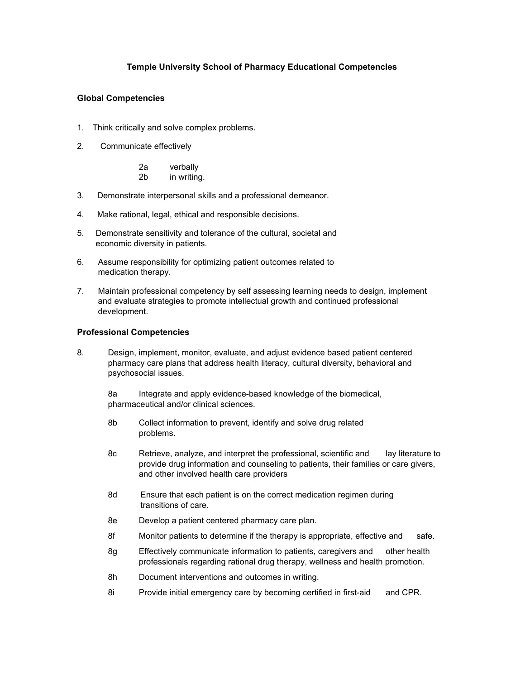# **Temple University School of Pharmacy Educational Competencies**

### **Global Competencies**

- 1. Think critically and solve complex problems.
- 2. Communicate effectively

2a verbally 2b in writing.

- 3. Demonstrate interpersonal skills and a professional demeanor.
- 4. Make rational, legal, ethical and responsible decisions.
- 5. Demonstrate sensitivity and tolerance of the cultural, societal and economic diversity in patients.
- 6. Assume responsibility for optimizing patient outcomes related to medication therapy.
- 7. Maintain professional competency by self assessing learning needs to design, implement and evaluate strategies to promote intellectual growth and continued professional development.

#### **Professional Competencies**

8. Design, implement, monitor, evaluate, and adjust evidence based patient centered pharmacy care plans that address health literacy, cultural diversity, behavioral and psychosocial issues.

8a Integrate and apply evidence-based knowledge of the biomedical, pharmaceutical and/or clinical sciences.

- 8b Collect information to prevent, identify and solve drug related problems.
- 8c Retrieve, analyze, and interpret the professional, scientific and lay literature to provide drug information and counseling to patients, their families or care givers, and other involved health care providers
- 8d Ensure that each patient is on the correct medication regimen during transitions of care.
- 8e Develop a patient centered pharmacy care plan.
- 8f Monitor patients to determine if the therapy is appropriate, effective and safe.
- 8g Effectively communicate information to patients, caregivers and other health professionals regarding rational drug therapy, wellness and health promotion.
- 8h Document interventions and outcomes in writing.
- 8i Provide initial emergency care by becoming certified in first-aid and CPR.